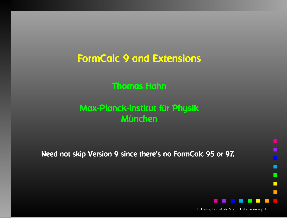FormCalc <sup>9</sup> and Extensions

### Thomas Hahn

### Max-Planck-Institut für PhysikMünchen

Need not skip Version <sup>9</sup> since there's no FormCalc <sup>95</sup> or 97.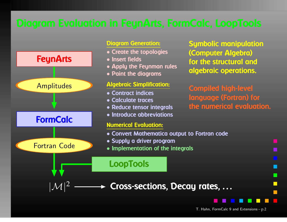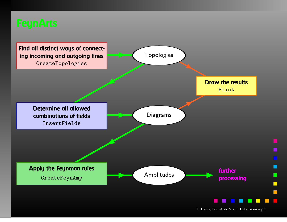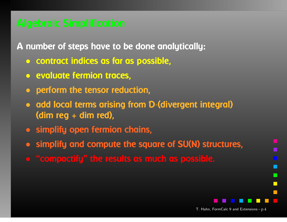<sup>A</sup> number of steps have to be done analytically:

- contract indices as far as possible,
- evaluate fermion traces,
- $\bigodot$ perform the tensor reduction,
- $\bullet$  add local terms arising from <sup>D</sup>·(divergent integral) (dim reg <sup>+</sup> dim red),
- simplify open fermion chains,
- simplify and compute the square of SU(N) structures,
- $\bigcirc$ "compactify" the results as much as possible.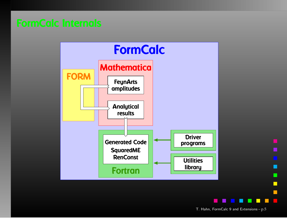

T. Hahn, FormCalc <sup>9</sup> and Extensions – p.<sup>5</sup>

 $\mathcal{L}_{\mathcal{A}}$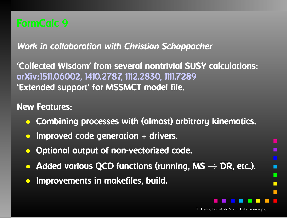Work in collaboration with Christian Schappacher

'Collected Wisdom' from several nontrivial SUSY calculations: arXiv:1511.06002, 1410.2787, 1112.2830, 1111.7289'Extended support' for MSSMCT model file.

### New Features:

- $\bullet$ Combining processes with (almost) arbitrary kinematics.
- $\bullet$ Improved code generation <sup>+</sup> drivers.
- $\bullet$ Optional output of non-vectorized code.
- Added various QCD functions (running, MS  $\rightarrow$  DR, etc.).
- $\bullet$ Improvements in makefiles, build.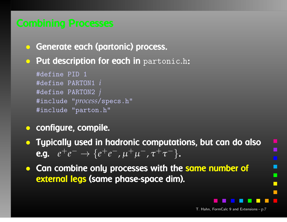- Generate each (partonic) process.
- **Put description for each in** partonic.h:

```
#define PID 1
#define PARTON1 i
#define PARTON2 j
#include "process/specs.h"
#include "parton.h"
```
- configure, compile.
- Typically used in hadronic computations, but can do also**e.g.**  $e^+e^-$  →  $\{e^+e^-, \mu^+\mu^-, \tau^+\tau^-\}$ .
- Can combine only processes with the same number of external legs (same phase-space dim).

п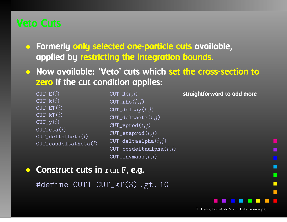- Formerly only selected one-particle cuts available, applied by restricting the integration bounds.
- Now available: 'Veto' cuts which set the cross-section to zero if the cut condition applies:

CUT  $E(i)$  CUT\_k(*i*) CUT\_ET(*i*) CUT\_kT(*i*) $CUT_y(i)$  CUT\_eta(*i*) CUT\_deltatheta(*i*)CUT\_cosdeltatheta(*i*) CUT\_R(*i*,*j*) CUT\_rho(*i*,*j*) CUT\_deltay(*i*,*j*) CUT\_deltaeta(*i*,*j*)CUT\_yprod(*i*,*j*) CUT\_etaprod(*i*,*j*) CUT\_deltaalpha(*i*,*j*) CUT\_cosdeltaalpha(*i*,*j*)CUT\_invmass(*i*,*j*)

straightforward to add more

```
\bullet• Construct cuts in run.F, e.g.
```
#define CUT1 CUT\_kT(3) .gt. <sup>10</sup>

T. Hahn, FormCalc <sup>9</sup> and Extensions – p.<sup>8</sup>

п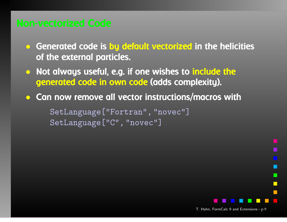- Generated code is by default vectorized in the helicities of the external particles.
- Not always useful, e.g. if one wishes to include the generated code in own code (adds complexity).
- $\bullet$ **• Can now remove all vector instructions/macros with**

SetLanguage["Fortran", "novec"] SetLanguage["C", "novec"]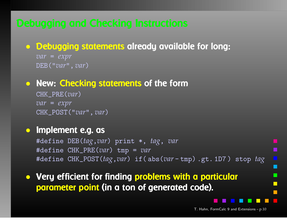# • Debugging statements already available for long:

*var*= *expr* DEB("*var*", *var* )

# • New: Checking statements of the form

CHK\_PRE(*var*)*var*= *expr* CHK\_POST("*var*", *var* )

# • Implement e.g. as

#define DEB(*tag*,*var*) print \*, *tag*, *var* #define CHK\_PRE(*var*) tmp <sup>=</sup> *var* #define CHK\_POST(*tag*,*var*) if( abs(*var* - tmp) .gt. 1D7 ) stop *tag*

• Very efficient for finding problems with <sup>a</sup> particular parameter point (in <sup>a</sup> ton of generated code).

T. Hahn, FormCalc <sup>9</sup> and Extensions – p.<sup>10</sup>

П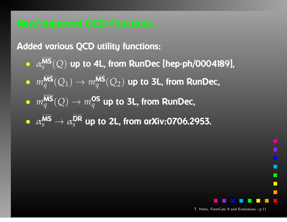Added various QCD utility functions:

- $\bullet \;\; \alpha_{\scriptscriptstyle S}^{\scriptscriptstyle \textsf{MS}}(\mathcal{Q})$  up to 4L, from RunDec [hep-ph/0004189],
- $\bullet \ \ m_q^{\textsf{MS}}(Q_1) \rightarrow m_q^{\textsf{MS}}(Q_2)$  up to 3L, from RunDec,
- $m_q^{\textsf{MS}}(Q) \rightarrow m_q^{\textsf{OS}}$  up to 3L, from RunDec,
- $\bullet \;\; \alpha_{\scriptscriptstyle S}^{\scriptstyle \textsf{MS}}\to \alpha_{\scriptscriptstyle S}^{\scriptstyle \textsf{DR}}$  up to 2L, from arXiv:0706.2953.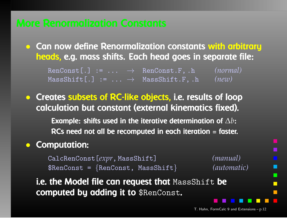• Can now define Renormalization constants with arbitraryheads, e.g. mass shifts. Each head goes in separate file:

RenConst[.] := ... → RenConst.F, .h *(normal)* MassShift[.] := ... → MassShift.F, .h *(new)*

• Creates subsets of RC-like objects, i.e. results of loop calculation but constant (external kinematics fixed). Example: shifts used in the iterative determination of  $\Delta b$ : RCs need not all be recomputed in each iteration <sup>=</sup> faster.

### $\bullet$ Computation:

CalcRenConst[*expr*, MassShift] *(manual)*  $\texttt{\$RenConst} = \{\texttt{RenConst},\ \texttt{MassShift}\}$ 

*(automatic)*

i.e. the Model file can request that MassShift be computed by adding it to \$RenConst.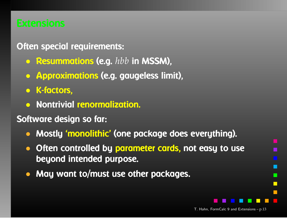### Often special requirements:

- Resummations (e.g. *hbb* in MSSM),
- $\bigodot$ Approximations (e.g. gaugeless limit),
- K-factors,
- $\bullet$ Nontrivial renormalization.

### Software design so far:

- $\bullet$ Mostly 'monolithic' (one package does everything).
- $\bullet$ • Often controlled by parameter cards, not easy to use beyond intended purpose.
- $\bullet$ May want to/must use other packages.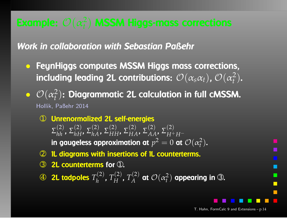Work in collaboration with Sebastian Paßehr

- FeynHiggs computes MSSM Higgs mass corrections, including leading 2L contributions:  $\mathcal{O}(\alpha_{s}\alpha_{t}),\,\mathcal{O}(\alpha_{t}^{2}).$
- $\bigodot$  $\bullet$   $\mathcal{O}(\alpha_t^2)$ : Diagrammatic 2L calculation in full cMSSM. Hollik, Paßehr <sup>2014</sup>
	- $\begin{array}{ccc} \textcircled{1} & \textup{Unrenormalized 2L self-energies} \ \textcircled{2} & \textcircled{3} & \textcircled{2} & \textcircled{3} \end{array}$  $\Sigma_{hh}^{(2)}$ ,  $\Sigma_{hH}^{(2)}$ ,  $\Sigma_{hA}^{(2)}$ ,  $\Sigma_{HH}^{(2)}$ ,  $\Sigma_{HA}^{(2)}$ ,  $\Sigma_{AA}^{(2)}$ ,  $\Sigma_{H^+H^-}^{(2)}$ in gaugeless approximation at  $p^2=0$  at  ${\cal O}(\alpha_t^2)$ .
	- ➁ 1L diagrams with insertions of 1L counterterms.
	- **③ 2L counterterms for ①.**
	- $\bigcircledA$  $\oplus$  **2L tadpoles**  $T_h^{(2)}$ ,  $T_H^{(2)}$ ,  $T_A^{(2)}$  at  $\mathcal{O}(\alpha_t^2)$  appearing in  $\oplus$ .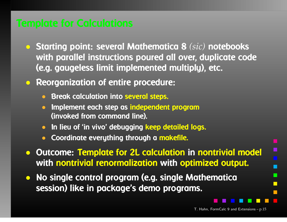- Starting point: several Mathematica <sup>8</sup> *(sic)* notebooks with parallel instructions poured all over, duplicate code (e.g. gaugeless limit implemented multiply), etc.
- Reorganization of entire procedure:
	- Break calculation into several steps.
	- $\bullet$  Implement each step as independent program(invoked from command line).
	- $\bullet$ In lieu of 'in vivo' debugging keep detailed logs.
	- $\bullet$ Coordinate everything through <sup>a</sup> makefile.
- Outcome: Template for 2L calculation in nontrivial model with nontrivial renormalization with optimized output.
- $\bullet$  No single control program (e.g. single Mathematica session) like in package's demo programs.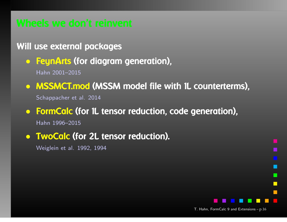### Will use external packages

• FeynArts (for diagram generation), Hahn 2001–2015

• MSSMCT.mod (MSSM model file with 1L counterterms), Schappacher et al. <sup>2014</sup>

### • FormCalc (for 1L tensor reduction, code generation), Hahn 1996–2015

• TwoCalc (for 2L tensor reduction).

Weiglein et al. 1992, <sup>1994</sup>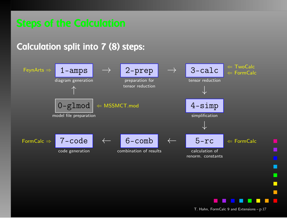## Calculation split into <sup>7</sup> (8) steps:

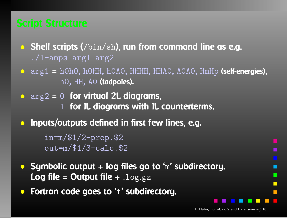- Shell scripts (/bin/sh), run from command line as e.g. ./1-amps arg<sup>1</sup> arg<sup>2</sup>
- arg<sup>1</sup> <sup>=</sup> h0h0, h0HH, h0A0, HHHH, HHA0, A0A0, HmHp (self-energies), h0, HH, A0 **(tadpoles).**
- $\arg 2 = 0$  for virtual 2L diagrams, 1 for 1L diagrams with 1L counterterms.
- $\bullet$ Inputs/outputs defined in first few lines, e.g.

in=m/\$1/2-prep.\$2out=m/\$1/3-calc.\$2

- Symbolic output  $+$  log files go to 'm' subdirectory.  $\textsf{Log file} = \textsf{Output file} + \textsf{ilog}.gz$
- $\bullet$ Fortran code goes to 'f' subdirectory.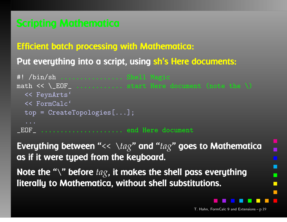### Efficient batch processing with Mathematica:

# Put everything into <sup>a</sup> script, using sh's Here documents:

```
#! /bin/sh ................ Shell Magic
math << \angle EOF \angle ............... start Here document (note the \setminus)
   << FeynArts'
   << FormCalc'
  top = CreateTopologies[...];
   ...\_E0\mathrm{F}_{\_} \cdots\cdots\cdots\cdots\cdots\cdots\cdots end Here document
```
Everything between "<< \*tag*" and "*tag*" goes to Mathematicaas if it were typed from the keyboard.

Note the "\" before  $tag$ , it makes the shell pass everything literally to Mathematica, without shell substitutions.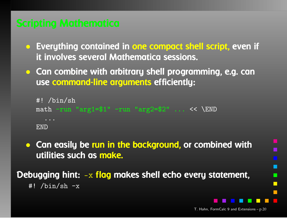- Everything contained in one compact shell script, even if it involves several Mathematica sessions.
- Can combine with arbitrary shell programming, e.g. canuse command-line arguments efficiently:

```
#! /bin/sh
math -run "arg1=$1" -run "arg2=$2" ... << \END
  ...END
```
• Can easily be run in the background, or combined with utilities such as make.

Debugging hint: -x f<mark>lag</mark> makes shell echo every statement,  $\overline{\text{#!}}$  /bin/sh -x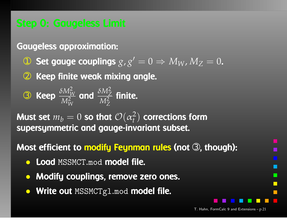Gaugeless approximation:

- ➀ Set gauge couplings *g*,*g* $^{\prime}=0\Rightarrow M_{W}$ ,  $M_{Z}=0$ .
- 2 Keep finite weak mixing angle.  $\circled{2}$

$$
\textcircled{3} \quad \text{Keep} \quad \frac{\delta M_W^2}{M_W^2} \quad \text{and} \quad \frac{\delta M_Z^2}{M_Z^2} \quad \text{finite.}
$$

Must set  $m_b=0$  so that  $\mathcal{O}(\alpha)$ matric and anu supersymmetric and gauge-invariant subset. 2*t*) corrections form

Most efficient to <mark>modify Feynman rules</mark> (not ③, though):

- **Load** MSSMCT.mod model file.
- $\bullet$ Modify couplings, remove zero ones.
- **Write out** MSSMCTg1.mod **model file.**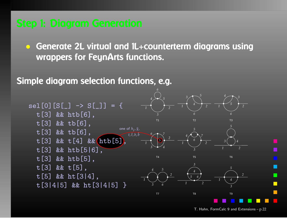• Generate 2L virtual and 1L+counterterm diagrams using wrappers for FeynArts functions.

Simple diagram selection functions, e.g.

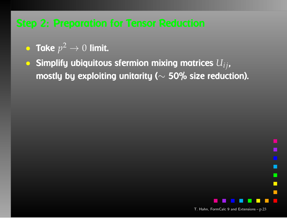- Take *p*2 $\overline{z} \rightarrow 0$  limit.
- $\bullet$  Simplify ubiquitous sfermion mixing matrices  $U_{ij}$ , mostly by exploiting unitarity ( $\sim$ ∼ $\sim$  50% size reduction).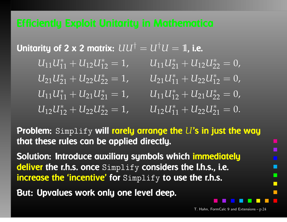Unitarity of 2 x 2 matrix:  $UU^{\dagger} = U^{\dagger}U =$  $U_{11}U_{11}^* + U_{12}U_{12}^* = 1$  $U_1$ <sub>1</sub> $U_2^*$  $=$  1, i.e.  $_{11}^*+U_{12}U_{1}^*$  $U_{21}U_{21}^{\ast}$  $j_2^* = 1$ ,  $_{21}^*+U_{12}U_{2}^*$  $U_{21}U_{11}^{\ast}$  $z_2^* = 0$ ,  $_{21}^*+U_{22}U_{2}^*$  $U_{11}U_{11}^{\ast}$  $z_2^* = 1$ ,  $_{11}^*+U_{22}U_{1}^*$  $U_{11}U_{12}^*$  $j_2^* = 0$ ,  $_{11}^*+U_{21}U_{2}^*$  $U_{12}U_{12}^*$  $_{21}^* = 1$ ,  $_{12}^*+U_{21}U_{2}^*$  $U_{12}U_{11}^{\ast}$  $z_2^* = 0$ ,  $_{12}^*+U_{22}U_{2}^*$  $z_2^* = 1$ ,  $_{11}^*+U_{22}U_{2}^*$  $_{21}^* = 0.$ 

Problem: Simplify will rarely arrange the *<sup>U</sup>*'s in just the waythat these rules can be applied directly.

Solution: Introduce auxiliary symbols which immediatelydeliver the r.h.s. once Simplify considers the l.h.s., i.e. increase the 'incentive' for Simplify to use the r.h.s.

But: Upvalues work only one level deep.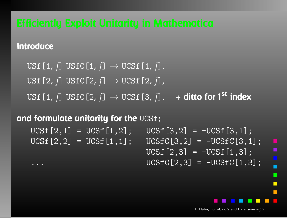**Introduce** 

```
USf[1,j] USfC[1
                    ,j]→ UCSf[1
                                    ,j],USf[2,j] USfC[2
                    , j] \rightarrow UCSf [2
                                    ,j],USf[1,
j] USfC[2
                   ,
j]→ UCSf[3
                                    ,
j],, + ditto for 1<sup>st</sup> index
```
and formulate unitarity for the UCSf:

 $UCSf[2,1] = UCSf[1,2]; \tUCSf[3,2] = -UCSf[3,1];$ <br> $UCSf[2,2] = UCSf[1,1]; \tUCSfC[3,2] = -UCSfC[3,1]$  $UCSfC[3,2] = -UCSfC[3,1];$  $UCSf[2,3] = -UCSf[1,3];$ 

 $UCSfC[2,3] = -UCSfC[1,3];$ 

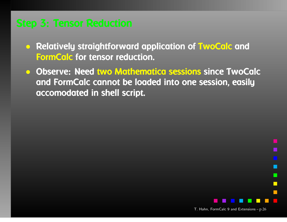- Relatively straightforward application of TwoCalc andFormCalc for tensor reduction.
- Observe: Need two Mathematica sessions since TwoCalc and FormCalc cannot be loaded into one session, easilyaccomodated in shell script.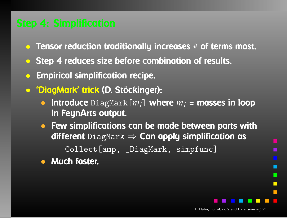- Tensor reduction traditionally increases # of terms most.
- Step <sup>4</sup> reduces size before combination of results.
- $\bigodot$ Empirical simplification recipe.
- 'DiagMark' trick (D. Stöckinger):
	- Introduce DiagMark[*<sup>m</sup>i*] where *<sup>m</sup><sup>i</sup>* <sup>=</sup> masses in loopin FeynArts output.
	- Few simplifications can be made between parts with  $\mathsf{different~DiagMark} \Rightarrow \mathsf{Can~apply~simpification~as} \ \mathsf{Cal\,I\,S} \cong \mathsf{Cam\_Dis} \ \mathsf{Cam\_Dis} \ \mathsf{Cam\_Dis} \ \mathsf{Cam\_Dis} \ \mathsf{Cam\_Dis} \ \mathsf{Cam\_Dis} \ \mathsf{Cam\_Dis} \ \mathsf{Cam\_Dis} \ \mathsf{Cam\_Dis} \ \mathsf{Cam\_Dis} \ \mathsf{Cam\_Dis} \ \mathsf{Cam\_Dis} \ \mathsf{Cam\_Dis} \ \mathsf{Cam\_Dis} \ \mathsf{Cam\_Dis} \ \mathsf{Cam\_Dis} \ \mathsf{Cam\_Dis} \ \mathsf{Cam\_Dis$

Collect[amp, \_DiagMark, simpfunc]

• Much faster.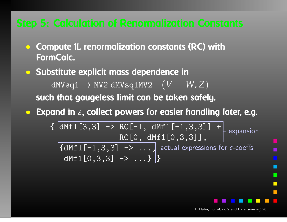- Compute 1L renormalization constants (RC) with FormCalc.
- Substitute explicit mass dependence in $dMV$ sq $1 \rightarrow MV2$   $dMV$ sq $1MV2$   $(V=W,Z)$ <br>a that gaugeless limit can be taken safel such that gaugeless limit can be taken safely.
- Expand in  $\varepsilon$ , collect powers for easier handling later, e.g.

 $\{ | \text{dMf1}[3,3] \rightarrow \text{RC}[-1, \text{dMf1}[-1,3,3]] + | \}$ RC[0, dMf1[0,3,3]],  $\{{\tt dMf1}\left[-1\,,3\,,3\right]\;\;\rightarrow\;\; \ldots\, ,}$  actual expressions for  $\varepsilon\text{-coeffs}$ dMf1 $[0,3,3]$  -> ...} } expansion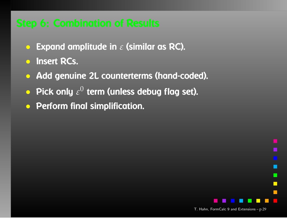- $\bullet$ **• Expand amplitude in**  $\varepsilon$  **(similar as RC).**
- Insert RCs.
- Add genuine 2L counterterms (hand-coded).
- Pick only  $\varepsilon$  $^{\rm 0}$  term (unless debug flag set).
- Perform final simplification.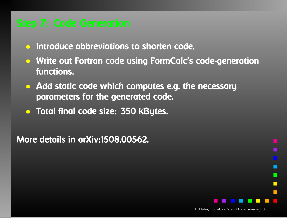- Introduce abbreviations to shorten code.
- Write out Fortran code using FormCalc's code-generationfunctions.
- Add static code which computes e.g. the necessary parameters for the generated code.
- Total final code size: <sup>350</sup> kBytes.

More details in arXiv:1508.00562.

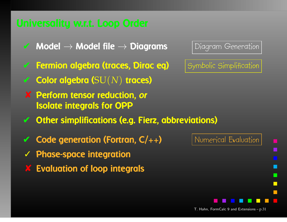- $\blacktriangleright$  Model  $\rightarrow$  Model file  $\rightarrow$
- ✔**Fermion algebra (traces, Dirac eq)** Symbolic Simplification
- ✔ Color algebra (SU (*N*) traces)
- ✘ Perform tensor reduction, or Isolate integrals for OPP
- ✔Other simplifications (e.g. Fierz, abbreviations)
- ✔**Code generation (Fortran,**  $C/++$ **)** Numerical Evaluation
- ✓ Phase-space integration
- $\chi$ Evaluation of loop integrals

Diagram Generation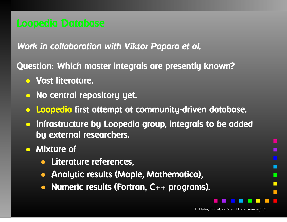### Work in collaboration with Viktor Papara et al.

Question: Which master integrals are presently known?

- Vast literature.
- No central repository yet.
- Loopedia first attempt at community-driven database.
- Infrastructure by Loopedia group, integrals to be addedby external researchers.
- Mixture of
	- Literature references,
	- $\bullet$ Analytic results (Maple, Mathematica),
	- •Numeric results (Fortran, C++ programs).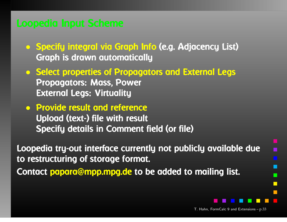- Specify integral via Graph Info (e.g. Adjacency List) Graph is drawn automatically
- Select properties of Propagators and External Legs Propagators: Mass, Power External Legs: Virtuality
- Provide result and reference Upload (text-) file with result Specify details in Comment field (or file)

Loopedia try-out interface currently not publicly available due to restructuring of storage format. Contact papara@mpp.mpg.de to be added to mailing list.